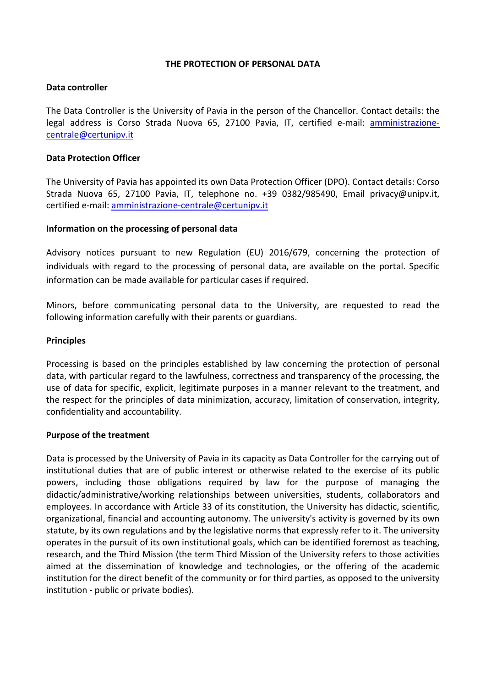## **THE PROTECTION OF PERSONAL DATA**

### **Data controller**

The Data Controller is the University of Pavia in the person of the Chancellor. Contact details: the legal address is Corso Strada Nuova 65, 27100 Pavia, IT, certified e-mail: [amministrazione](mailto:amministrazione-centrale@certunipv.it)[centrale@certunipv.it](mailto:amministrazione-centrale@certunipv.it)

### **Data Protection Officer**

The University of Pavia has appointed its own Data Protection Officer (DPO). Contact details: Corso Strada Nuova 65, 27100 Pavia, IT, telephone no. +39 0382/985490, Email privacy@unipv.it, certified e-mail: [amministrazione-centrale@certunipv.it](mailto:amministrazione-centrale@certunipv.it)

## **Information on the processing of personal data**

Advisory notices pursuant to new Regulation (EU) 2016/679, concerning the protection of individuals with regard to the processing of personal data, are available on the portal. Specific information can be made available for particular cases if required.

Minors, before communicating personal data to the University, are requested to read the following information carefully with their parents or guardians.

#### **Principles**

Processing is based on the principles established by law concerning the protection of personal data, with particular regard to the lawfulness, correctness and transparency of the processing, the use of data for specific, explicit, legitimate purposes in a manner relevant to the treatment, and the respect for the principles of data minimization, accuracy, limitation of conservation, integrity, confidentiality and accountability.

#### **Purpose of the treatment**

Data is processed by the University of Pavia in its capacity as Data Controller for the carrying out of institutional duties that are of public interest or otherwise related to the exercise of its public powers, including those obligations required by law for the purpose of managing the didactic/administrative/working relationships between universities, students, collaborators and employees. In accordance with Article 33 of its constitution, the University has didactic, scientific, organizational, financial and accounting autonomy. The university's activity is governed by its own statute, by its own regulations and by the legislative norms that expressly refer to it. The university operates in the pursuit of its own institutional goals, which can be identified foremost as teaching, research, and the Third Mission (the term Third Mission of the University refers to those activities aimed at the dissemination of knowledge and technologies, or the offering of the academic institution for the direct benefit of the community or for third parties, as opposed to the university institution - public or private bodies).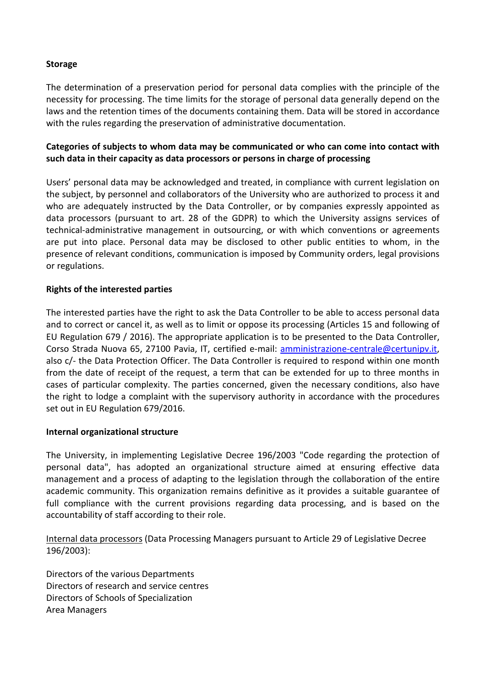# **Storage**

The determination of a preservation period for personal data complies with the principle of the necessity for processing. The time limits for the storage of personal data generally depend on the laws and the retention times of the documents containing them. Data will be stored in accordance with the rules regarding the preservation of administrative documentation.

# **Categories of subjects to whom data may be communicated or who can come into contact with such data in their capacity as data processors or persons in charge of processing**

Users' personal data may be acknowledged and treated, in compliance with current legislation on the subject, by personnel and collaborators of the University who are authorized to process it and who are adequately instructed by the Data Controller, or by companies expressly appointed as data processors (pursuant to art. 28 of the GDPR) to which the University assigns services of technical-administrative management in outsourcing, or with which conventions or agreements are put into place. Personal data may be disclosed to other public entities to whom, in the presence of relevant conditions, communication is imposed by Community orders, legal provisions or regulations.

# **Rights of the interested parties**

The interested parties have the right to ask the Data Controller to be able to access personal data and to correct or cancel it, as well as to limit or oppose its processing (Articles 15 and following of EU Regulation 679 / 2016). The appropriate application is to be presented to the Data Controller, Corso Strada Nuova 65, 27100 Pavia, IT, certified e-mail: [amministrazione-centrale@certunipv.it,](mailto:amministrazione-centrale@certunipv.it) also c/- the Data Protection Officer. The Data Controller is required to respond within one month from the date of receipt of the request, a term that can be extended for up to three months in cases of particular complexity. The parties concerned, given the necessary conditions, also have the right to lodge a complaint with the supervisory authority in accordance with the procedures set out in EU Regulation 679/2016.

## **Internal organizational structure**

The University, in implementing Legislative Decree 196/2003 "Code regarding the protection of personal data", has adopted an organizational structure aimed at ensuring effective data management and a process of adapting to the legislation through the collaboration of the entire academic community. This organization remains definitive as it provides a suitable guarantee of full compliance with the current provisions regarding data processing, and is based on the accountability of staff according to their role.

Internal data processors (Data Processing Managers pursuant to Article 29 of Legislative Decree 196/2003):

Directors of the various Departments Directors of research and service centres Directors of Schools of Specialization Area Managers